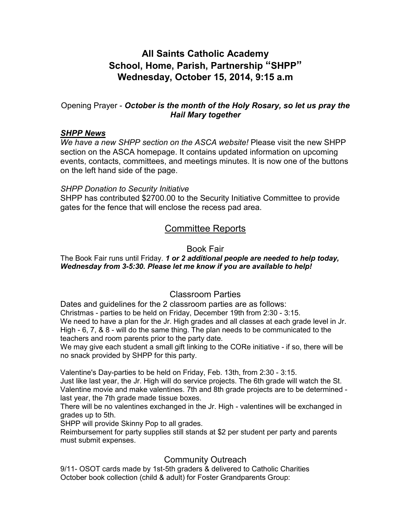## **All Saints Catholic Academy School, Home, Parish, Partnership "SHPP" Wednesday, October 15, 2014, 9:15 a.m**

## Opening Prayer - *October is the month of the Holy Rosary, so let us pray the Hail Mary together*

#### *SHPP News*

*We have a new SHPP section on the ASCA website!* Please visit the new SHPP section on the ASCA homepage. It contains updated information on upcoming events, contacts, committees, and meetings minutes. It is now one of the buttons on the left hand side of the page.

## *SHPP Donation to Security Initiative*

SHPP has contributed \$2700.00 to the Security Initiative Committee to provide gates for the fence that will enclose the recess pad area.

## Committee Reports

## Book Fair

### The Book Fair runs until Friday. *1 or 2 additional people are needed to help today, Wednesday from 3-5:30. Please let me know if you are available to help!*

## Classroom Parties

Dates and guidelines for the 2 classroom parties are as follows: Christmas - parties to be held on Friday, December 19th from 2:30 - 3:15. We need to have a plan for the Jr. High grades and all classes at each grade level in Jr. High - 6, 7, & 8 - will do the same thing. The plan needs to be communicated to the teachers and room parents prior to the party date.

We may give each student a small gift linking to the CORe initiative - if so, there will be no snack provided by SHPP for this party.

Valentine's Day-parties to be held on Friday, Feb. 13th, from 2:30 - 3:15.

Just like last year, the Jr. High will do service projects. The 6th grade will watch the St. Valentine movie and make valentines. 7th and 8th grade projects are to be determined last year, the 7th grade made tissue boxes.

There will be no valentines exchanged in the Jr. High - valentines will be exchanged in grades up to 5th.

SHPP will provide Skinny Pop to all grades.

Reimbursement for party supplies still stands at \$2 per student per party and parents must submit expenses.

## Community Outreach

9/11- OSOT cards made by 1st-5th graders & delivered to Catholic Charities October book collection (child & adult) for Foster Grandparents Group: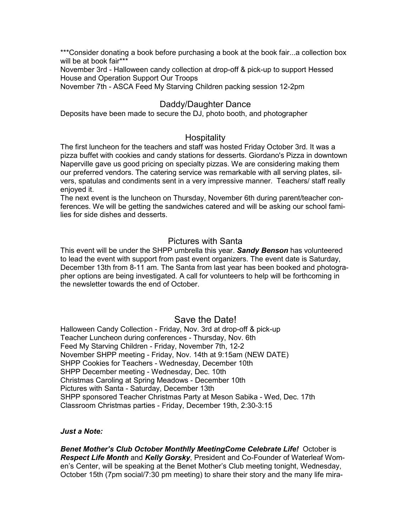\*\*\*Consider donating a book before purchasing a book at the book fair...a collection box will be at book fair\*\*\*

November 3rd - Halloween candy collection at drop-off & pick-up to support Hessed House and Operation Support Our Troops

November 7th - ASCA Feed My Starving Children packing session 12-2pm

## Daddy/Daughter Dance

Deposits have been made to secure the DJ, photo booth, and photographer

## **Hospitality**

The first luncheon for the teachers and staff was hosted Friday October 3rd. It was a pizza buffet with cookies and candy stations for desserts. Giordano's Pizza in downtown Naperville gave us good pricing on specialty pizzas. We are considering making them our preferred vendors. The catering service was remarkable with all serving plates, silvers, spatulas and condiments sent in a very impressive manner. Teachers/ staff really enjoyed it.

The next event is the luncheon on Thursday, November 6th during parent/teacher conferences. We will be getting the sandwiches catered and will be asking our school families for side dishes and desserts.

## Pictures with Santa

This event will be under the SHPP umbrella this year. *Sandy Benson* has volunteered to lead the event with support from past event organizers. The event date is Saturday, December 13th from 8-11 am. The Santa from last year has been booked and photographer options are being investigated. A call for volunteers to help will be forthcoming in the newsletter towards the end of October.

## Save the Date!

Halloween Candy Collection - Friday, Nov. 3rd at drop-off & pick-up Teacher Luncheon during conferences - Thursday, Nov. 6th Feed My Starving Children - Friday, November 7th, 12-2 November SHPP meeting - Friday, Nov. 14th at 9:15am (NEW DATE) SHPP Cookies for Teachers - Wednesday, December 10th SHPP December meeting - Wednesday, Dec. 10th Christmas Caroling at Spring Meadows - December 10th Pictures with Santa - Saturday, December 13th SHPP sponsored Teacher Christmas Party at Meson Sabika - Wed, Dec. 17th Classroom Christmas parties - Friday, December 19th, 2:30-3:15

#### *Just a Note:*

*Benet Mother's Club October Monthlly MeetingCome Celebrate Life!* October is *Respect Life Month* and *Kelly Gorsky*, President and Co-Founder of Waterleaf Women's Center, will be speaking at the Benet Mother's Club meeting tonight, Wednesday, October 15th (7pm social/7:30 pm meeting) to share their story and the many life mira